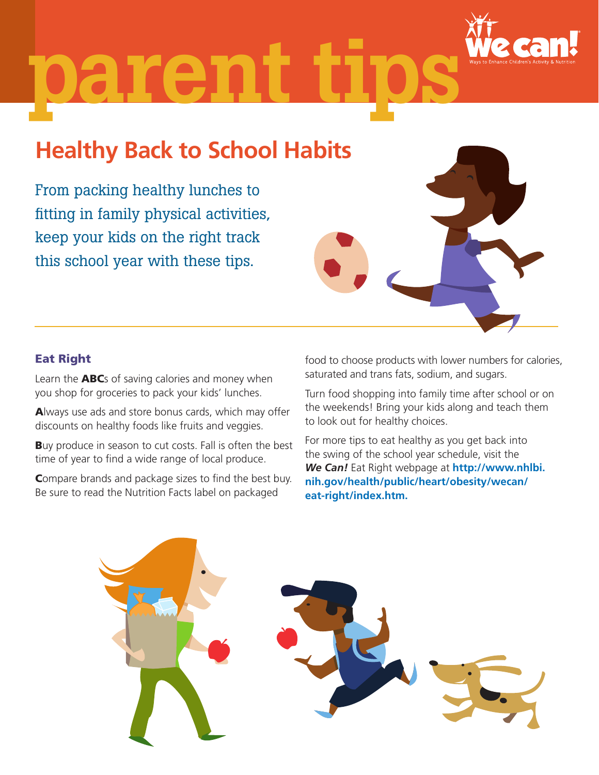

## parent

## **Healthy Back to School Habits**

From packing healthy lunches to fitting in family physical activities, keep your kids on the right track this school year with these tips.

Learn the **ABC**s of saving calories and money when you shop for groceries to pack your kids' lunches.

Always use ads and store bonus cards, which may offer discounts on healthy foods like fruits and veggies.

Buy produce in season to cut costs. Fall is often the best time of year to find a wide range of local produce.

Compare brands and package sizes to find the best buy. Be sure to read the Nutrition Facts label on packaged

Eat Right

food to choose products with lower numbers for calories, saturated and trans fats, sodium, and sugars.

Turn food shopping into family time after school or on the weekends! Bring your kids along and teach them to look out for healthy choices.

For more tips to eat healthy as you get back into the swing of the school year schedule, visit the *We Can!* Eat Right webpage at **http://www.nhlbi. nih.gov/health/public/heart/obesity/wecan/ eat-right/index.htm.**